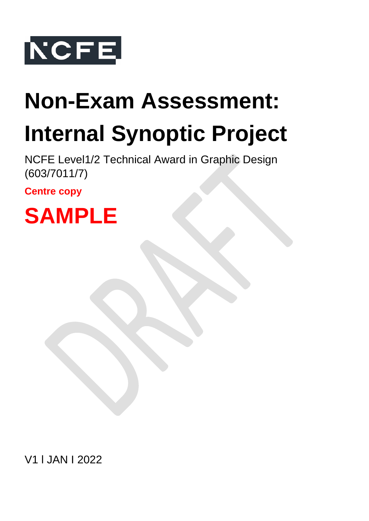

# **Non-Exam Assessment: Internal Synoptic Project**

NCFE Level1/2 Technical Award in Graphic Design (603/7011/7)

**Centre copy**



V1 l JAN I 2022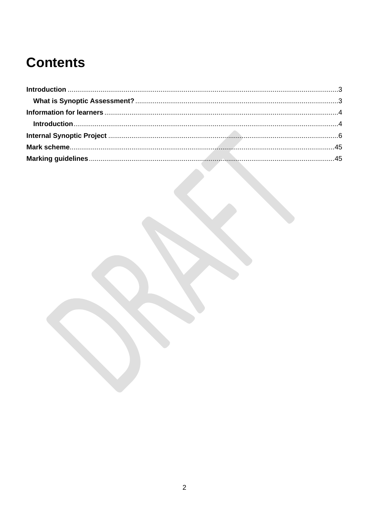# **Contents**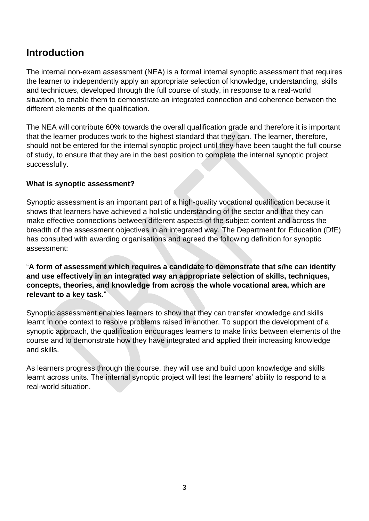# <span id="page-2-0"></span>**Introduction**

The internal non-exam assessment (NEA) is a formal internal synoptic assessment that requires the learner to independently apply an appropriate selection of knowledge, understanding, skills and techniques, developed through the full course of study, in response to a real-world situation, to enable them to demonstrate an integrated connection and coherence between the different elements of the qualification.

The NEA will contribute 60% towards the overall qualification grade and therefore it is important that the learner produces work to the highest standard that they can. The learner, therefore, should not be entered for the internal synoptic project until they have been taught the full course of study, to ensure that they are in the best position to complete the internal synoptic project successfully.

# <span id="page-2-1"></span>**What is synoptic assessment?**

Synoptic assessment is an important part of a high-quality vocational qualification because it shows that learners have achieved a holistic understanding of the sector and that they can make effective connections between different aspects of the subject content and across the breadth of the assessment objectives in an integrated way. The Department for Education (DfE) has consulted with awarding organisations and agreed the following definition for synoptic assessment:

"**A form of assessment which requires a candidate to demonstrate that s/he can identify and use effectively in an integrated way an appropriate selection of skills, techniques, concepts, theories, and knowledge from across the whole vocational area, which are relevant to a key task.**"

Synoptic assessment enables learners to show that they can transfer knowledge and skills learnt in one context to resolve problems raised in another. To support the development of a synoptic approach, the qualification encourages learners to make links between elements of the course and to demonstrate how they have integrated and applied their increasing knowledge and skills.

As learners progress through the course, they will use and build upon knowledge and skills learnt across units. The internal synoptic project will test the learners' ability to respond to a real-world situation.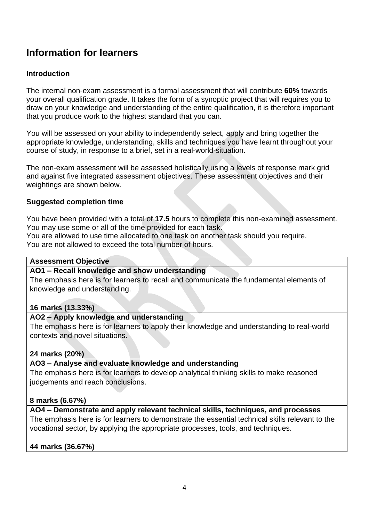# <span id="page-3-0"></span>**Information for learners**

# <span id="page-3-1"></span>**Introduction**

The internal non-exam assessment is a formal assessment that will contribute **60%** towards your overall qualification grade. It takes the form of a synoptic project that will requires you to draw on your knowledge and understanding of the entire qualification, it is therefore important that you produce work to the highest standard that you can.

You will be assessed on your ability to independently select, apply and bring together the appropriate knowledge, understanding, skills and techniques you have learnt throughout your course of study, in response to a brief, set in a real-world-situation.

The non-exam assessment will be assessed holistically using a levels of response mark grid and against five integrated assessment objectives. These assessment objectives and their weightings are shown below.

# **Suggested completion time**

You have been provided with a total of **17.5** hours to complete this non-examined assessment. You may use some or all of the time provided for each task.

You are allowed to use time allocated to one task on another task should you require.

You are not allowed to exceed the total number of hours.

#### **Assessment Objective**

# **AO1 – Recall knowledge and show understanding**

The emphasis here is for learners to recall and communicate the fundamental elements of knowledge and understanding.

#### **16 marks (13.33%)**

# **AO2 – Apply knowledge and understanding**

The emphasis here is for learners to apply their knowledge and understanding to real-world contexts and novel situations.

# **24 marks (20%)**

# **AO3 – Analyse and evaluate knowledge and understanding**

The emphasis here is for learners to develop analytical thinking skills to make reasoned judgements and reach conclusions.

# **8 marks (6.67%)**

# **AO4 – Demonstrate and apply relevant technical skills, techniques, and processes**

The emphasis here is for learners to demonstrate the essential technical skills relevant to the vocational sector, by applying the appropriate processes, tools, and techniques.

# **44 marks (36.67%)**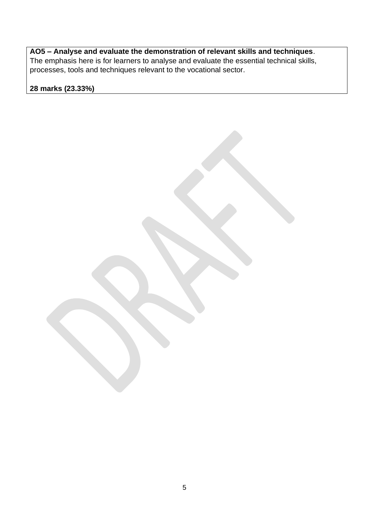**AO5 – Analyse and evaluate the demonstration of relevant skills and techniques**. The emphasis here is for learners to analyse and evaluate the essential technical skills, processes, tools and techniques relevant to the vocational sector.

**28 marks (23.33%)**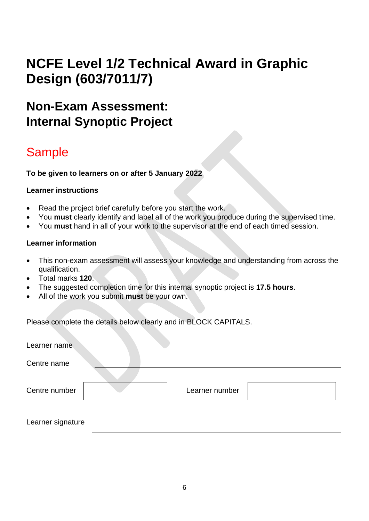# **NCFE Level 1/2 Technical Award in Graphic Design (603/7011/7)**

# <span id="page-5-0"></span>**Non-Exam Assessment: Internal Synoptic Project**

# Sample

**To be given to learners on or after 5 January 2022**

# **Learner instructions**

- Read the project brief carefully before you start the work.
- You **must** clearly identify and label all of the work you produce during the supervised time.
- You **must** hand in all of your work to the supervisor at the end of each timed session.

# **Learner information**

- This non-exam assessment will assess your knowledge and understanding from across the qualification.
- Total marks **120**.
- The suggested completion time for this internal synoptic project is **17.5 hours**.
- All of the work you submit **must** be your own.

Please complete the details below clearly and in BLOCK CAPITALS.

| Learner name      |                |  |
|-------------------|----------------|--|
| Centre name       |                |  |
| Centre number     | Learner number |  |
| Learner signature |                |  |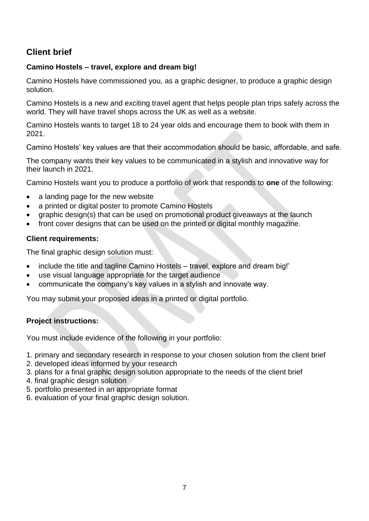# **Client brief**

# **Camino Hostels – travel, explore and dream big!**

Camino Hostels have commissioned you, as a graphic designer, to produce a graphic design solution.

Camino Hostels is a new and exciting travel agent that helps people plan trips safely across the world. They will have travel shops across the UK as well as a website.

Camino Hostels wants to target 18 to 24 year olds and encourage them to book with them in 2021.

Camino Hostels' key values are that their accommodation should be basic, affordable, and safe.

The company wants their key values to be communicated in a stylish and innovative way for their launch in 2021.

Camino Hostels want you to produce a portfolio of work that responds to **one** of the following:

- a landing page for the new website
- a printed or digital poster to promote Camino Hostels
- graphic design(s) that can be used on promotional product giveaways at the launch
- front cover designs that can be used on the printed or digital monthly magazine.

# **Client requirements:**

The final graphic design solution must:

- include the title and tagline Camino Hostels travel, explore and dream big!'
- use visual language appropriate for the target audience
- communicate the company's key values in a stylish and innovate way.

You may submit your proposed ideas in a printed or digital portfolio.

# **Project instructions:**

You must include evidence of the following in your portfolio:

- 1. primary and secondary research in response to your chosen solution from the client brief
- 2. developed ideas informed by your research
- 3. plans for a final graphic design solution appropriate to the needs of the client brief
- 4. final graphic design solution
- 5. portfolio presented in an appropriate format
- 6. evaluation of your final graphic design solution.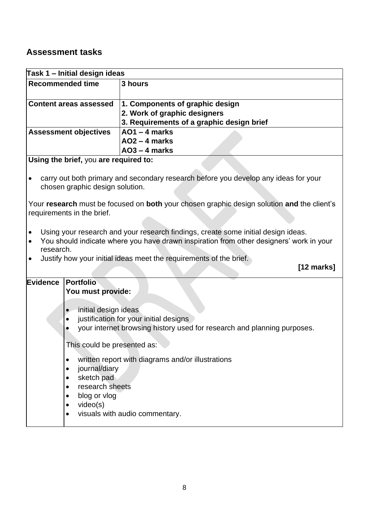# **Assessment tasks**

| Task 1 – Initial design ideas       |                                                                                                                   |                                                                                                                                                                              |
|-------------------------------------|-------------------------------------------------------------------------------------------------------------------|------------------------------------------------------------------------------------------------------------------------------------------------------------------------------|
| <b>Recommended time</b>             |                                                                                                                   | 3 hours                                                                                                                                                                      |
|                                     | <b>Content areas assessed</b>                                                                                     | 1. Components of graphic design<br>2. Work of graphic designers<br>3. Requirements of a graphic design brief                                                                 |
|                                     | <b>Assessment objectives</b>                                                                                      | $AO1 - 4$ marks<br>$AO2 - 4$ marks<br>$AO3 - 4$ marks                                                                                                                        |
|                                     | Using the brief, you are required to:                                                                             |                                                                                                                                                                              |
|                                     | chosen graphic design solution.                                                                                   | carry out both primary and secondary research before you develop any ideas for your                                                                                          |
|                                     | requirements in the brief.                                                                                        | Your research must be focused on both your chosen graphic design solution and the client's                                                                                   |
| $\bullet$<br>$\bullet$<br>research. |                                                                                                                   | Using your research and your research findings, create some initial design ideas.<br>You should indicate where you have drawn inspiration from other designers' work in your |
|                                     |                                                                                                                   | Justify how your initial ideas meet the requirements of the brief.<br>$[12 \text{ marks}]$                                                                                   |
| Evidence                            | <b>Portfolio</b><br>You must provide:                                                                             |                                                                                                                                                                              |
|                                     | initial design ideas<br>$\bullet$<br>$\bullet$                                                                    | justification for your initial designs<br>your internet browsing history used for research and planning purposes.                                                            |
|                                     | This could be presented as:                                                                                       |                                                                                                                                                                              |
|                                     | journal/diary<br>sketch pad<br>research sheets<br>blog or vlog<br>$\bullet$<br>video(s)<br>$\bullet$<br>$\bullet$ | written report with diagrams and/or illustrations<br>visuals with audio commentary.                                                                                          |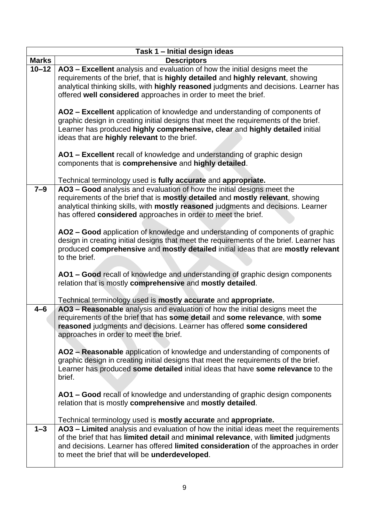|              | Task 1 - Initial design ideas                                                                                                                                                                                                                                                                                                                                                                 |
|--------------|-----------------------------------------------------------------------------------------------------------------------------------------------------------------------------------------------------------------------------------------------------------------------------------------------------------------------------------------------------------------------------------------------|
| <b>Marks</b> | <b>Descriptors</b>                                                                                                                                                                                                                                                                                                                                                                            |
| $10 - 12$    | AO3 - Excellent analysis and evaluation of how the initial designs meet the<br>requirements of the brief, that is highly detailed and highly relevant, showing<br>analytical thinking skills, with highly reasoned judgments and decisions. Learner has<br>offered well considered approaches in order to meet the brief.                                                                     |
|              | AO2 - Excellent application of knowledge and understanding of components of<br>graphic design in creating initial designs that meet the requirements of the brief.<br>Learner has produced highly comprehensive, clear and highly detailed initial<br>ideas that are highly relevant to the brief.                                                                                            |
|              | AO1 - Excellent recall of knowledge and understanding of graphic design<br>components that is comprehensive and highly detailed.                                                                                                                                                                                                                                                              |
|              | Technical terminology used is fully accurate and appropriate.                                                                                                                                                                                                                                                                                                                                 |
| $7 - 9$      | AO3 - Good analysis and evaluation of how the initial designs meet the<br>requirements of the brief that is mostly detailed and mostly relevant, showing<br>analytical thinking skills, with mostly reasoned judgments and decisions. Learner<br>has offered considered approaches in order to meet the brief.                                                                                |
|              | AO2 - Good application of knowledge and understanding of components of graphic<br>design in creating initial designs that meet the requirements of the brief. Learner has<br>produced comprehensive and mostly detailed initial ideas that are mostly relevant<br>to the brief.                                                                                                               |
|              | AO1 - Good recall of knowledge and understanding of graphic design components<br>relation that is mostly comprehensive and mostly detailed.                                                                                                                                                                                                                                                   |
|              | Technical terminology used is mostly accurate and appropriate.                                                                                                                                                                                                                                                                                                                                |
| $4 - 6$      | AO3 - Reasonable analysis and evaluation of how the initial designs meet the<br>requirements of the brief that has some detail and some relevance, with some<br>reasoned judgments and decisions. Learner has offered some considered<br>approaches in order to meet the brief.                                                                                                               |
|              | AO2 – Reasonable application of knowledge and understanding of components of<br>graphic design in creating initial designs that meet the requirements of the brief.<br>Learner has produced some detailed initial ideas that have some relevance to the<br>brief.                                                                                                                             |
|              | AO1 – Good recall of knowledge and understanding of graphic design components<br>relation that is mostly comprehensive and mostly detailed.                                                                                                                                                                                                                                                   |
| $1 - 3$      | Technical terminology used is mostly accurate and appropriate.<br>AO3 - Limited analysis and evaluation of how the initial ideas meet the requirements<br>of the brief that has limited detail and minimal relevance, with limited judgments<br>and decisions. Learner has offered limited consideration of the approaches in order<br>to meet the brief that will be <b>underdeveloped</b> . |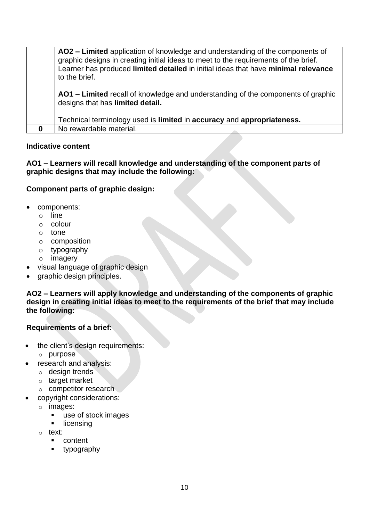| AO2 – Limited application of knowledge and understanding of the components of<br>graphic designs in creating initial ideas to meet to the requirements of the brief.<br>Learner has produced limited detailed in initial ideas that have minimal relevance<br>to the brief. |  |  |
|-----------------------------------------------------------------------------------------------------------------------------------------------------------------------------------------------------------------------------------------------------------------------------|--|--|
| AO1 – Limited recall of knowledge and understanding of the components of graphic<br>designs that has limited detail.                                                                                                                                                        |  |  |
| Technical terminology used is limited in accuracy and appropriateness.                                                                                                                                                                                                      |  |  |
| No rewardable material.                                                                                                                                                                                                                                                     |  |  |

**AO1 – Learners will recall knowledge and understanding of the component parts of graphic designs that may include the following:**

# **Component parts of graphic design:**

- components:
	- o line
	- o colour
	- o tone
	- o composition
	- o typography
	- o imagery
- visual language of graphic design
- graphic design principles.

**AO2 – Learners will apply knowledge and understanding of the components of graphic design in creating initial ideas to meet to the requirements of the brief that may include the following:**

# **Requirements of a brief:**

- the client's design requirements:
	- o purpose
- research and analysis:
	- o design trends
	- o target market
	- o competitor research
- copyright considerations:
	- o images:
		- use of stock images
		- **·** licensing
	- o text:
		- content
		- typography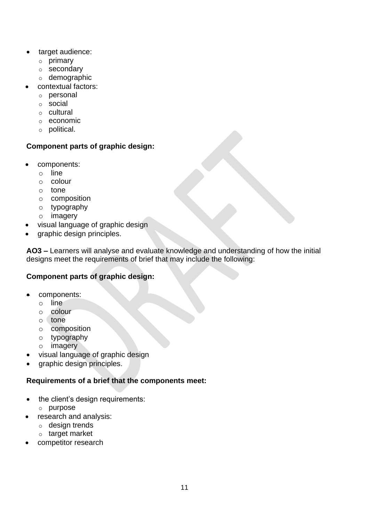- target audience:
	- o primary
	- o secondary
	- o demographic
- contextual factors:
	- o personal
	- o social
	- o cultural
	- o economic
	- o political.

# **Component parts of graphic design:**

- components:
	- o line
	- o colour
	- o tone
	- o composition
	- o typography
	- o imagery
- visual language of graphic design
- graphic design principles.

**AO3 –** Learners will analyse and evaluate knowledge and understanding of how the initial designs meet the requirements of brief that may include the following:

# **Component parts of graphic design:**

- components:
	- o line
	- o colour
	- o tone
	- o composition
	- o typography
	- o imagery
- visual language of graphic design
- graphic design principles.

#### **Requirements of a brief that the components meet:**

- the client's design requirements:
	- o purpose
- research and analysis:
	- o design trends
	- o target market
- competitor research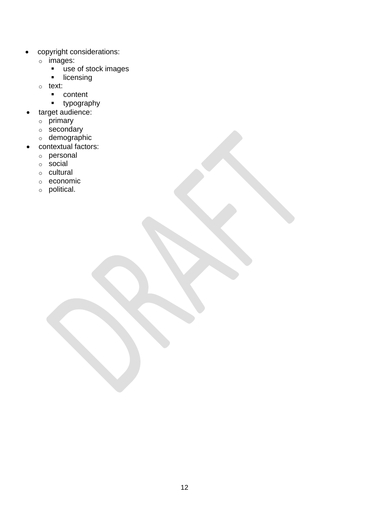- copyright considerations:
	- o images:
		- use of stock images
		- **·** licensing
	- o text:
		- content
		- typography
- target audience:
	- $\circ$  primary
	- o secondary
	- o demographic
- contextual factors:
	- o personal
	- o social
	- o cultural
	- o economic
	- o political.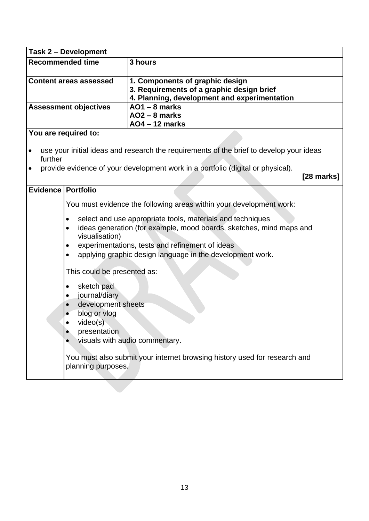|                      | Task 2 - Development                                                                                                             |                                                                                                                                                                                                                                                   |
|----------------------|----------------------------------------------------------------------------------------------------------------------------------|---------------------------------------------------------------------------------------------------------------------------------------------------------------------------------------------------------------------------------------------------|
|                      | <b>Recommended time</b><br>3 hours                                                                                               |                                                                                                                                                                                                                                                   |
|                      | <b>Content areas assessed</b>                                                                                                    | 1. Components of graphic design<br>3. Requirements of a graphic design brief<br>4. Planning, development and experimentation                                                                                                                      |
|                      | <b>Assessment objectives</b>                                                                                                     | $AO1 - 8$ marks<br>$AO2 - 8$ marks<br><b>AO4-12 marks</b>                                                                                                                                                                                         |
|                      | You are required to:                                                                                                             |                                                                                                                                                                                                                                                   |
| further<br>$\bullet$ |                                                                                                                                  | use your initial ideas and research the requirements of the brief to develop your ideas<br>provide evidence of your development work in a portfolio (digital or physical).<br>$[28$ marks]                                                        |
| Evidence   Portfolio |                                                                                                                                  |                                                                                                                                                                                                                                                   |
|                      |                                                                                                                                  | You must evidence the following areas within your development work:                                                                                                                                                                               |
|                      | ٠<br>$\bullet$<br>visualisation)<br>$\bullet$<br>$\bullet$                                                                       | select and use appropriate tools, materials and techniques<br>ideas generation (for example, mood boards, sketches, mind maps and<br>experimentations, tests and refinement of ideas<br>applying graphic design language in the development work. |
|                      | This could be presented as:                                                                                                      |                                                                                                                                                                                                                                                   |
|                      | sketch pad<br>$\bullet$<br>journal/diary<br>development sheets<br>blog or vlog<br>video(s)<br>presentation<br>planning purposes. | visuals with audio commentary.<br>You must also submit your internet browsing history used for research and                                                                                                                                       |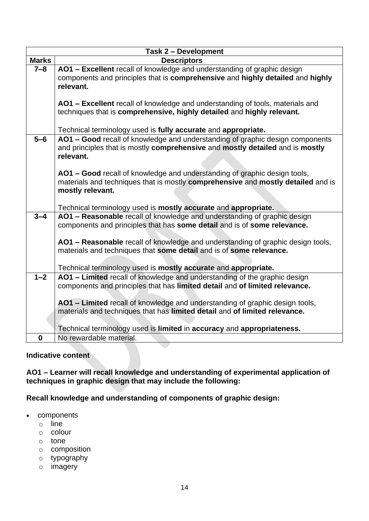|              | <b>Task 2 - Development</b>                                                      |  |  |
|--------------|----------------------------------------------------------------------------------|--|--|
| <b>Marks</b> | <b>Descriptors</b>                                                               |  |  |
| $7 - 8$      | AO1 - Excellent recall of knowledge and understanding of graphic design          |  |  |
|              | components and principles that is comprehensive and highly detailed and highly   |  |  |
|              | relevant.                                                                        |  |  |
|              |                                                                                  |  |  |
|              | AO1 - Excellent recall of knowledge and understanding of tools, materials and    |  |  |
|              | techniques that is comprehensive, highly detailed and highly relevant.           |  |  |
|              | Technical terminology used is fully accurate and appropriate.                    |  |  |
| $5-6$        | AO1 - Good recall of knowledge and understanding of graphic design components    |  |  |
|              | and principles that is mostly comprehensive and mostly detailed and is mostly    |  |  |
|              | relevant.                                                                        |  |  |
|              |                                                                                  |  |  |
|              | AO1 - Good recall of knowledge and understanding of graphic design tools,        |  |  |
|              | materials and techniques that is mostly comprehensive and mostly detailed and is |  |  |
|              | mostly relevant.                                                                 |  |  |
|              |                                                                                  |  |  |
|              | Technical terminology used is mostly accurate and appropriate.                   |  |  |
| $3 - 4$      | AO1 - Reasonable recall of knowledge and understanding of graphic design         |  |  |
|              | components and principles that has some detail and is of some relevance.         |  |  |
|              |                                                                                  |  |  |
|              | AO1 - Reasonable recall of knowledge and understanding of graphic design tools,  |  |  |
|              | materials and techniques that some detail and is of some relevance.              |  |  |
|              | Technical terminology used is mostly accurate and appropriate.                   |  |  |
| $1 - 2$      | AO1 - Limited recall of knowledge and understanding of the graphic design        |  |  |
|              | components and principles that has limited detail and of limited relevance.      |  |  |
|              |                                                                                  |  |  |
|              | AO1 - Limited recall of knowledge and understanding of graphic design tools,     |  |  |
|              | materials and techniques that has limited detail and of limited relevance.       |  |  |
|              |                                                                                  |  |  |
|              | Technical terminology used is limited in accuracy and appropriateness.           |  |  |
| $\mathbf 0$  | No rewardable material.                                                          |  |  |

**AO1 – Learner will recall knowledge and understanding of experimental application of techniques in graphic design that may include the following:**

**Recall knowledge and understanding of components of graphic design:**

- components
	- o line
	- o colour
	- o tone
	- o composition
	- o typography
	- o imagery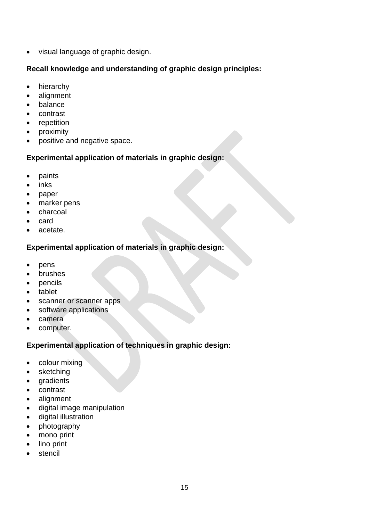• visual language of graphic design.

# **Recall knowledge and understanding of graphic design principles:**

- hierarchy
- alignment
- balance
- contrast
- repetition
- proximity
- positive and negative space.

# **Experimental application of materials in graphic design:**

- paints
- inks
- paper
- marker pens
- charcoal
- card
- acetate.

# **Experimental application of materials in graphic design:**

- pens
- brushes
- pencils
- tablet
- scanner or scanner apps
- software applications
- camera
- computer.

# **Experimental application of techniques in graphic design:**

- colour mixing
- sketching
- gradients
- contrast
- alignment
- digital image manipulation
- digital illustration
- photography
- mono print
- lino print
- stencil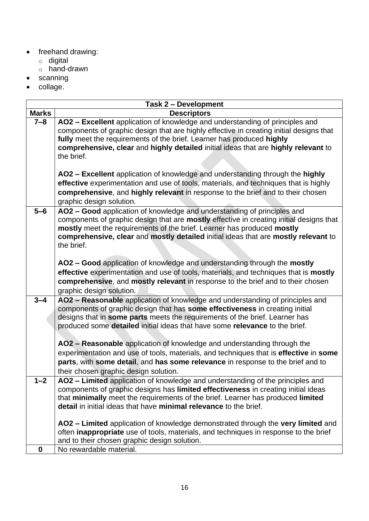- freehand drawing:
	- o digital
	- o hand-drawn
- scanning
- collage.

|              | <b>Task 2 - Development</b>                                                                                                                                                                                                                                                                                                                                                                                                                                                                                                                                                                                                 |
|--------------|-----------------------------------------------------------------------------------------------------------------------------------------------------------------------------------------------------------------------------------------------------------------------------------------------------------------------------------------------------------------------------------------------------------------------------------------------------------------------------------------------------------------------------------------------------------------------------------------------------------------------------|
| <b>Marks</b> | <b>Descriptors</b>                                                                                                                                                                                                                                                                                                                                                                                                                                                                                                                                                                                                          |
| $7 - 8$      | AO2 - Excellent application of knowledge and understanding of principles and<br>components of graphic design that are highly effective in creating initial designs that<br>fully meet the requirements of the brief. Learner has produced highly<br>comprehensive, clear and highly detailed initial ideas that are highly relevant to<br>the brief.                                                                                                                                                                                                                                                                        |
|              | AO2 - Excellent application of knowledge and understanding through the highly<br>effective experimentation and use of tools, materials, and techniques that is highly<br>comprehensive, and highly relevant in response to the brief and to their chosen<br>graphic design solution.                                                                                                                                                                                                                                                                                                                                        |
| $5-6$        | AO2 - Good application of knowledge and understanding of principles and<br>components of graphic design that are mostly effective in creating initial designs that<br>mostly meet the requirements of the brief. Learner has produced mostly<br>comprehensive, clear and mostly detailed initial ideas that are mostly relevant to<br>the brief.                                                                                                                                                                                                                                                                            |
|              | AO2 - Good application of knowledge and understanding through the mostly<br>effective experimentation and use of tools, materials, and techniques that is mostly<br>comprehensive, and mostly relevant in response to the brief and to their chosen<br>graphic design solution.                                                                                                                                                                                                                                                                                                                                             |
| $3 - 4$      | AO2 - Reasonable application of knowledge and understanding of principles and<br>components of graphic design that has some effectiveness in creating initial<br>designs that in some parts meets the requirements of the brief. Learner has<br>produced some detailed initial ideas that have some relevance to the brief.<br>AO2 - Reasonable application of knowledge and understanding through the<br>experimentation and use of tools, materials, and techniques that is effective in some<br>parts, with some detail, and has some relevance in response to the brief and to<br>their chosen graphic design solution. |
| $1 - 2$      | AO2 - Limited application of knowledge and understanding of the principles and<br>components of graphic designs has limited effectiveness in creating initial ideas<br>that minimally meet the requirements of the brief. Learner has produced limited<br>detail in initial ideas that have minimal relevance to the brief.                                                                                                                                                                                                                                                                                                 |
|              | AO2 - Limited application of knowledge demonstrated through the very limited and<br>often <b>inappropriate</b> use of tools, materials, and techniques in response to the brief<br>and to their chosen graphic design solution.                                                                                                                                                                                                                                                                                                                                                                                             |
| $\bf{0}$     | No rewardable material.                                                                                                                                                                                                                                                                                                                                                                                                                                                                                                                                                                                                     |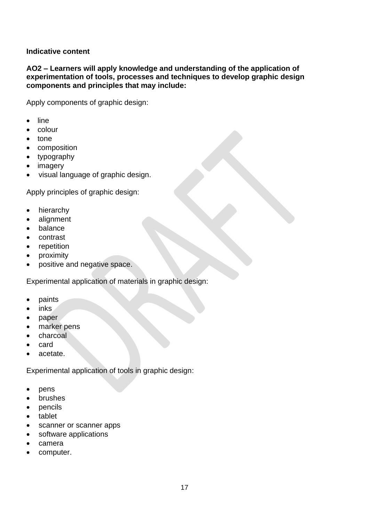**AO2 – Learners will apply knowledge and understanding of the application of experimentation of tools, processes and techniques to develop graphic design components and principles that may include:**

Apply components of graphic design:

- line
- colour
- tone
- composition
- typography
- imagery
- visual language of graphic design.

Apply principles of graphic design:

- hierarchy
- alignment
- balance
- contrast
- repetition
- proximity
- positive and negative space.

Experimental application of materials in graphic design:

- paints
- inks
- paper
- marker pens
- charcoal
- card
- acetate.

Experimental application of tools in graphic design:

- pens
- brushes
- pencils
- tablet
- scanner or scanner apps
- software applications
- camera
- computer.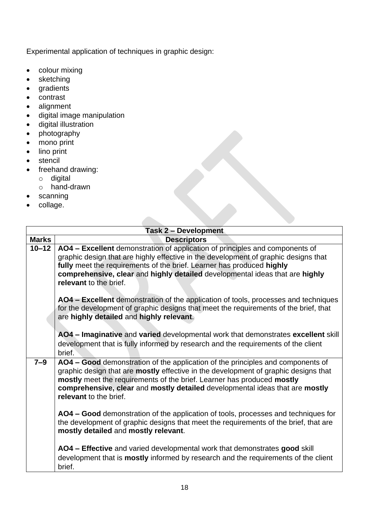Experimental application of techniques in graphic design:

- colour mixing
- sketching
- gradients
- contrast
- alignment
- digital image manipulation
- digital illustration
- photography
- mono print
- lino print
- stencil
- freehand drawing:
	- o digital
	- o hand-drawn
- scanning
- collage.

|              | <b>Task 2 - Development</b>                                                                                                                                                                                                                                                                                                                                |
|--------------|------------------------------------------------------------------------------------------------------------------------------------------------------------------------------------------------------------------------------------------------------------------------------------------------------------------------------------------------------------|
| <b>Marks</b> | <b>Descriptors</b>                                                                                                                                                                                                                                                                                                                                         |
| $10 - 12$    | AO4 – Excellent demonstration of application of principles and components of<br>graphic design that are highly effective in the development of graphic designs that<br>fully meet the requirements of the brief. Learner has produced highly<br>comprehensive, clear and highly detailed developmental ideas that are highly<br>relevant to the brief.     |
|              | AO4 – Excellent demonstration of the application of tools, processes and techniques<br>for the development of graphic designs that meet the requirements of the brief, that<br>are highly detailed and highly relevant.                                                                                                                                    |
|              | AO4 - Imaginative and varied developmental work that demonstrates excellent skill<br>development that is fully informed by research and the requirements of the client<br>brief.                                                                                                                                                                           |
| $7 - 9$      | AO4 - Good demonstration of the application of the principles and components of<br>graphic design that are mostly effective in the development of graphic designs that<br>mostly meet the requirements of the brief. Learner has produced mostly<br>comprehensive, clear and mostly detailed developmental ideas that are mostly<br>relevant to the brief. |
|              | AO4 – Good demonstration of the application of tools, processes and techniques for<br>the development of graphic designs that meet the requirements of the brief, that are<br>mostly detailed and mostly relevant.                                                                                                                                         |
|              | AO4 - Effective and varied developmental work that demonstrates good skill<br>development that is <b>mostly</b> informed by research and the requirements of the client<br>brief.                                                                                                                                                                          |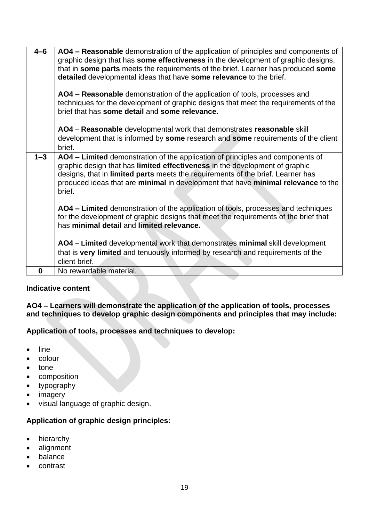| $4 - 6$  | AO4 – Reasonable demonstration of the application of principles and components of<br>graphic design that has some effectiveness in the development of graphic designs,<br>that in some parts meets the requirements of the brief. Learner has produced some<br>detailed developmental ideas that have some relevance to the brief.<br>AO4 – Reasonable demonstration of the application of tools, processes and<br>techniques for the development of graphic designs that meet the requirements of the<br>brief that has some detail and some relevance.<br>AO4 – Reasonable developmental work that demonstrates reasonable skill |
|----------|------------------------------------------------------------------------------------------------------------------------------------------------------------------------------------------------------------------------------------------------------------------------------------------------------------------------------------------------------------------------------------------------------------------------------------------------------------------------------------------------------------------------------------------------------------------------------------------------------------------------------------|
|          | development that is informed by some research and some requirements of the client<br>brief.                                                                                                                                                                                                                                                                                                                                                                                                                                                                                                                                        |
| $1 - 3$  | AO4 – Limited demonstration of the application of principles and components of<br>graphic design that has limited effectiveness in the development of graphic<br>designs, that in limited parts meets the requirements of the brief. Learner has<br>produced ideas that are minimal in development that have minimal relevance to the<br>brief.                                                                                                                                                                                                                                                                                    |
|          | AO4 - Limited demonstration of the application of tools, processes and techniques<br>for the development of graphic designs that meet the requirements of the brief that<br>has minimal detail and limited relevance.                                                                                                                                                                                                                                                                                                                                                                                                              |
|          | AO4 - Limited developmental work that demonstrates minimal skill development<br>that is very limited and tenuously informed by research and requirements of the<br>client brief.                                                                                                                                                                                                                                                                                                                                                                                                                                                   |
| $\bf{0}$ | No rewardable material.                                                                                                                                                                                                                                                                                                                                                                                                                                                                                                                                                                                                            |

**AO4 – Learners will demonstrate the application of the application of tools, processes and techniques to develop graphic design components and principles that may include:** 

**Application of tools, processes and techniques to develop:**

- line
- colour
- tone
- composition
- typography
- imagery
- visual language of graphic design.

# **Application of graphic design principles:**

- hierarchy
- alignment
- balance
- contrast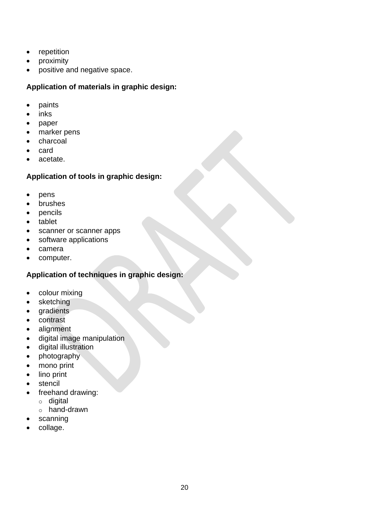- repetition
- proximity
- positive and negative space.

**Application of materials in graphic design:**

- paints
- inks
- paper
- marker pens
- charcoal
- card
- acetate.

# **Application of tools in graphic design:**

- pens
- brushes
- pencils
- tablet
- scanner or scanner apps
- software applications
- camera
- computer.

# **Application of techniques in graphic design:**

- colour mixing
- sketching
- gradients
- contrast
- alignment
- digital image manipulation
- digital illustration
- photography
- mono print
- lino print
- stencil
- freehand drawing:
	- o digital
	- o hand-drawn
- scanning
- collage.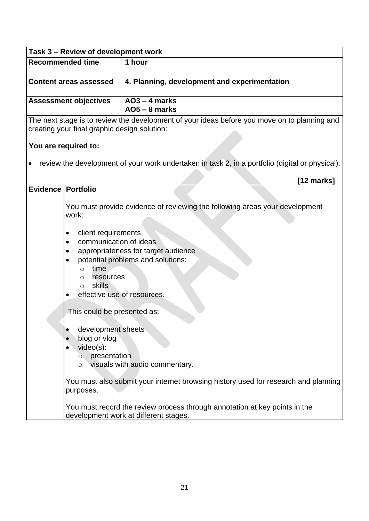| Task 3 - Review of development work |                                                                                                                                                                     |                                                                                                                                                                                                                                             |
|-------------------------------------|---------------------------------------------------------------------------------------------------------------------------------------------------------------------|---------------------------------------------------------------------------------------------------------------------------------------------------------------------------------------------------------------------------------------------|
| <b>Recommended time</b>             |                                                                                                                                                                     | 1 hour                                                                                                                                                                                                                                      |
|                                     | <b>Content areas assessed</b>                                                                                                                                       | 4. Planning, development and experimentation                                                                                                                                                                                                |
|                                     | <b>Assessment objectives</b>                                                                                                                                        | $AO3 - 4$ marks<br>$AO5 - 8$ marks                                                                                                                                                                                                          |
|                                     | creating your final graphic design solution:                                                                                                                        | The next stage is to review the development of your ideas before you move on to planning and                                                                                                                                                |
| You are required to:                |                                                                                                                                                                     |                                                                                                                                                                                                                                             |
|                                     |                                                                                                                                                                     | review the development of your work undertaken in task 2, in a portfolio (digital or physical).                                                                                                                                             |
|                                     |                                                                                                                                                                     | $[12 \text{ marks}]$                                                                                                                                                                                                                        |
| Evidence   Portfolio                |                                                                                                                                                                     |                                                                                                                                                                                                                                             |
|                                     | work:<br>client requirements<br>$\bullet$<br>communication of ideas<br>$\bullet$<br>time<br>$\circ$<br>resources<br>O<br>skills<br>∩<br>effective use of resources. | You must provide evidence of reviewing the following areas your development<br>appropriateness for target audience<br>potential problems and solutions:                                                                                     |
|                                     | This could be presented as:<br>development sheets<br>$\bullet$<br>blog or vlog<br>$\bullet$<br>$video(s)$ :<br>presentation<br>$\circ$<br>$\circ$<br>purposes.      | visuals with audio commentary.<br>You must also submit your internet browsing history used for research and planning<br>You must record the review process through annotation at key points in the<br>development work at different stages. |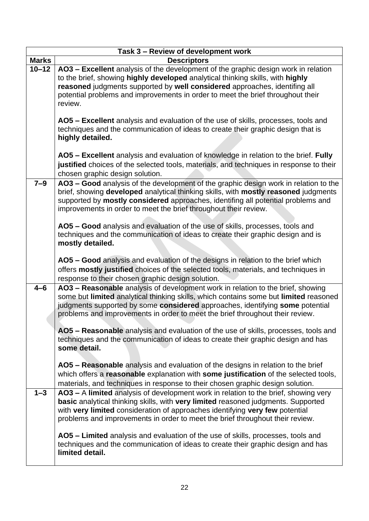| Task 3 - Review of development work |                                                                                                                                                                                                                                                                                                                                                  |  |  |
|-------------------------------------|--------------------------------------------------------------------------------------------------------------------------------------------------------------------------------------------------------------------------------------------------------------------------------------------------------------------------------------------------|--|--|
| <b>Marks</b>                        | <b>Descriptors</b>                                                                                                                                                                                                                                                                                                                               |  |  |
| $10 - 12$                           | AO3 - Excellent analysis of the development of the graphic design work in relation<br>to the brief, showing highly developed analytical thinking skills, with highly<br>reasoned judgments supported by well considered approaches, identifing all<br>potential problems and improvements in order to meet the brief throughout their<br>review. |  |  |
|                                     | AO5 - Excellent analysis and evaluation of the use of skills, processes, tools and<br>techniques and the communication of ideas to create their graphic design that is<br>highly detailed.                                                                                                                                                       |  |  |
|                                     | AO5 - Excellent analysis and evaluation of knowledge in relation to the brief. Fully<br>justified choices of the selected tools, materials, and techniques in response to their<br>chosen graphic design solution.                                                                                                                               |  |  |
| $7 - 9$                             | AO3 - Good analysis of the development of the graphic design work in relation to the<br>brief, showing developed analytical thinking skills, with mostly reasoned judgments<br>supported by mostly considered approaches, identifing all potential problems and<br>improvements in order to meet the brief throughout their review.              |  |  |
|                                     | AO5 - Good analysis and evaluation of the use of skills, processes, tools and<br>techniques and the communication of ideas to create their graphic design and is<br>mostly detailed.                                                                                                                                                             |  |  |
|                                     | AO5 - Good analysis and evaluation of the designs in relation to the brief which<br>offers mostly justified choices of the selected tools, materials, and techniques in<br>response to their chosen graphic design solution.                                                                                                                     |  |  |
| $4 - 6$                             | AO3 - Reasonable analysis of development work in relation to the brief, showing<br>some but limited analytical thinking skills, which contains some but limited reasoned<br>judgments supported by some considered approaches, identifying some potential<br>problems and improvements in order to meet the brief throughout their review.       |  |  |
|                                     | AO5 - Reasonable analysis and evaluation of the use of skills, processes, tools and<br>techniques and the communication of ideas to create their graphic design and has<br>some detail.                                                                                                                                                          |  |  |
|                                     | AO5 - Reasonable analysis and evaluation of the designs in relation to the brief<br>which offers a reasonable explanation with some justification of the selected tools,<br>materials, and techniques in response to their chosen graphic design solution.                                                                                       |  |  |
| $1 - 3$                             | AO3 - A limited analysis of development work in relation to the brief, showing very<br>basic analytical thinking skills, with very limited reasoned judgments. Supported<br>with very limited consideration of approaches identifying very few potential<br>problems and improvements in order to meet the brief throughout their review.        |  |  |
|                                     | AO5 - Limited analysis and evaluation of the use of skills, processes, tools and<br>techniques and the communication of ideas to create their graphic design and has<br>limited detail.                                                                                                                                                          |  |  |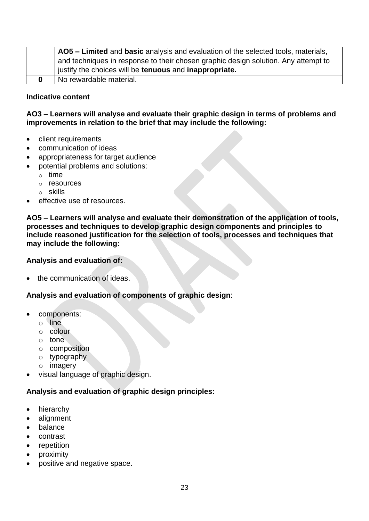| AO5 - Limited and basic analysis and evaluation of the selected tools, materials,  |
|------------------------------------------------------------------------------------|
| and techniques in response to their chosen graphic design solution. Any attempt to |
| justify the choices will be tenuous and inappropriate.                             |
| No rewardable material.                                                            |

# **AO3 – Learners will analyse and evaluate their graphic design in terms of problems and improvements in relation to the brief that may include the following:**

- client requirements
- communication of ideas
- appropriateness for target audience
- potential problems and solutions:
	- o time
	- o resources
	- o skills
- effective use of resources.

**AO5 – Learners will analyse and evaluate their demonstration of the application of tools, processes and techniques to develop graphic design components and principles to include reasoned justification for the selection of tools, processes and techniques that may include the following:** 

#### **Analysis and evaluation of:**

the communication of ideas.

**Analysis and evaluation of components of graphic design**:

- components:
	- o line
	- o colour
	- o tone
	- o composition
	- o typography
	- o imagery
- visual language of graphic design.

#### **Analysis and evaluation of graphic design principles:**

- hierarchy
- alignment
- balance
- contrast
- repetition
- proximity
- positive and negative space.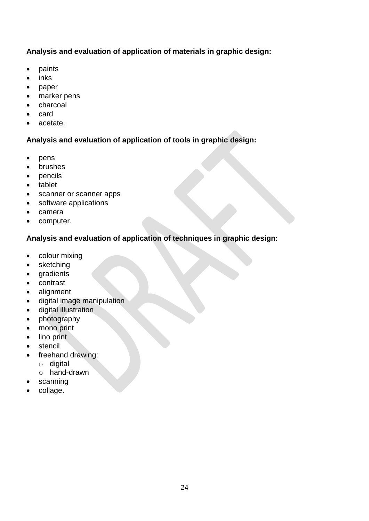# **Analysis and evaluation of application of materials in graphic design:**

- paints
- inks
- paper
- marker pens
- charcoal
- card
- acetate.

# **Analysis and evaluation of application of tools in graphic design:**

- pens
- brushes
- pencils
- tablet
- scanner or scanner apps
- software applications
- camera
- computer.

# **Analysis and evaluation of application of techniques in graphic design:**

- colour mixing
- sketching
- gradients
- contrast
- alignment
- digital image manipulation
- digital illustration
- photography
- mono print
- lino print
- stencil
- freehand drawing:
	- o digital
	- o hand-drawn
- scanning
- collage.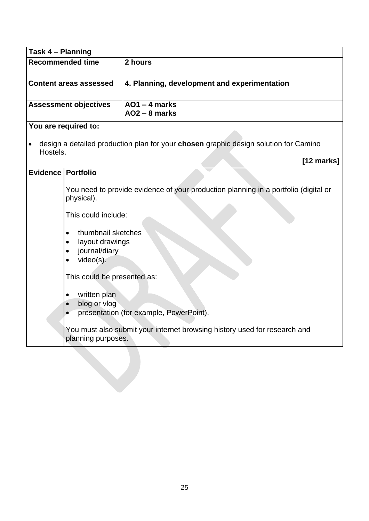| Task 4 - Planning     |                                                                                                                                                                                                                             |                                                                                                                                |
|-----------------------|-----------------------------------------------------------------------------------------------------------------------------------------------------------------------------------------------------------------------------|--------------------------------------------------------------------------------------------------------------------------------|
| Recommended time      |                                                                                                                                                                                                                             | 2 hours                                                                                                                        |
|                       | <b>Content areas assessed</b>                                                                                                                                                                                               | 4. Planning, development and experimentation                                                                                   |
|                       | <b>Assessment objectives</b>                                                                                                                                                                                                | $AO1 - 4$ marks<br>$AO2 - 8$ marks                                                                                             |
|                       | You are required to:                                                                                                                                                                                                        |                                                                                                                                |
| $\bullet$<br>Hostels. |                                                                                                                                                                                                                             | design a detailed production plan for your chosen graphic design solution for Camino                                           |
|                       |                                                                                                                                                                                                                             | [12 marks]                                                                                                                     |
| Evidence   Portfolio  |                                                                                                                                                                                                                             |                                                                                                                                |
|                       | physical).<br>This could include:<br>thumbnail sketches<br>$\bullet$<br>layout drawings<br>$\bullet$<br>journal/diary<br>$\bullet$<br>video(s).<br>$\bullet$<br>This could be presented as:<br>written plan<br>blog or vlog | You need to provide evidence of your production planning in a portfolio (digital or<br>presentation (for example, PowerPoint). |
|                       | planning purposes.                                                                                                                                                                                                          | You must also submit your internet browsing history used for research and                                                      |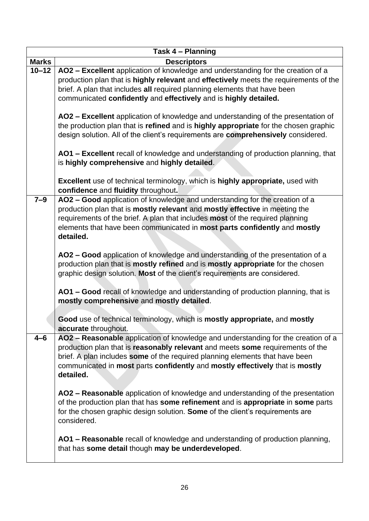| Task 4 - Planning |                                                                                                                                                                                                                                                                                                                                                  |  |
|-------------------|--------------------------------------------------------------------------------------------------------------------------------------------------------------------------------------------------------------------------------------------------------------------------------------------------------------------------------------------------|--|
| <b>Marks</b>      | <b>Descriptors</b>                                                                                                                                                                                                                                                                                                                               |  |
| $10 - 12$         | AO2 - Excellent application of knowledge and understanding for the creation of a<br>production plan that is highly relevant and effectively meets the requirements of the<br>brief. A plan that includes all required planning elements that have been<br>communicated confidently and effectively and is highly detailed.                       |  |
|                   | AO2 - Excellent application of knowledge and understanding of the presentation of<br>the production plan that is refined and is highly appropriate for the chosen graphic<br>design solution. All of the client's requirements are comprehensively considered.                                                                                   |  |
|                   | AO1 - Excellent recall of knowledge and understanding of production planning, that<br>is highly comprehensive and highly detailed.                                                                                                                                                                                                               |  |
|                   | Excellent use of technical terminology, which is highly appropriate, used with<br>confidence and fluidity throughout.                                                                                                                                                                                                                            |  |
| $7 - 9$           | AO2 - Good application of knowledge and understanding for the creation of a<br>production plan that is mostly relevant and mostly effective in meeting the<br>requirements of the brief. A plan that includes most of the required planning<br>elements that have been communicated in most parts confidently and mostly<br>detailed.            |  |
|                   | AO2 - Good application of knowledge and understanding of the presentation of a<br>production plan that is mostly refined and is mostly appropriate for the chosen<br>graphic design solution. Most of the client's requirements are considered.                                                                                                  |  |
|                   | AO1 - Good recall of knowledge and understanding of production planning, that is<br>mostly comprehensive and mostly detailed.                                                                                                                                                                                                                    |  |
|                   | Good use of technical terminology, which is mostly appropriate, and mostly<br>accurate throughout.                                                                                                                                                                                                                                               |  |
| $4 - 6$           | AO2 - Reasonable application of knowledge and understanding for the creation of a<br>production plan that is reasonably relevant and meets some requirements of the<br>brief. A plan includes some of the required planning elements that have been<br>communicated in most parts confidently and mostly effectively that is mostly<br>detailed. |  |
|                   | AO2 - Reasonable application of knowledge and understanding of the presentation<br>of the production plan that has some refinement and is appropriate in some parts<br>for the chosen graphic design solution. Some of the client's requirements are<br>considered.                                                                              |  |
|                   | AO1 - Reasonable recall of knowledge and understanding of production planning,<br>that has some detail though may be underdeveloped.                                                                                                                                                                                                             |  |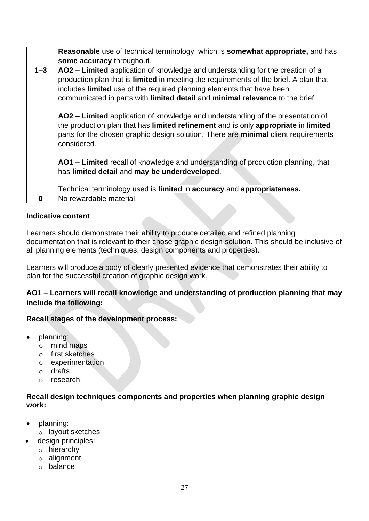|         | Reasonable use of technical terminology, which is somewhat appropriate, and has                                                                                                                                                                                                                                                   |
|---------|-----------------------------------------------------------------------------------------------------------------------------------------------------------------------------------------------------------------------------------------------------------------------------------------------------------------------------------|
|         | some accuracy throughout.                                                                                                                                                                                                                                                                                                         |
| $1 - 3$ | AO2 - Limited application of knowledge and understanding for the creation of a<br>production plan that is limited in meeting the requirements of the brief. A plan that<br>includes limited use of the required planning elements that have been<br>communicated in parts with limited detail and minimal relevance to the brief. |
|         | AO2 – Limited application of knowledge and understanding of the presentation of<br>the production plan that has limited refinement and is only appropriate in limited<br>parts for the chosen graphic design solution. There are minimal client requirements<br>considered.                                                       |
|         | AO1 - Limited recall of knowledge and understanding of production planning, that<br>has limited detail and may be underdeveloped.                                                                                                                                                                                                 |
|         | Technical terminology used is limited in accuracy and appropriateness.                                                                                                                                                                                                                                                            |
| 0       | No rewardable material.                                                                                                                                                                                                                                                                                                           |

Learners should demonstrate their ability to produce detailed and refined planning documentation that is relevant to their chose graphic design solution. This should be inclusive of all planning elements (techniques, design components and properties).

Learners will produce a body of clearly presented evidence that demonstrates their ability to plan for the successful creation of graphic design work.

# **AO1 – Learners will recall knowledge and understanding of production planning that may include the following:**

## **Recall stages of the development process:**

- planning:
	- o mind maps
	- o first sketches
	- o experimentation
	- o drafts
	- o research.

# **Recall design techniques components and properties when planning graphic design work:**

- planning:
	- o layout sketches
- design principles:
	- o hierarchy
	- o alignment
	- o balance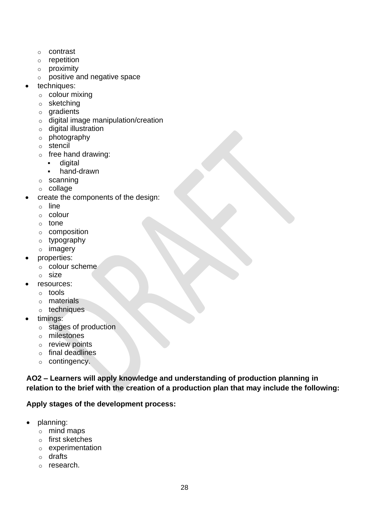- o contrast
- o repetition
- o proximity
- o positive and negative space
- techniques:
	- $\circ$  colour mixing
	- o sketching
	- o gradients
	- o digital image manipulation/creation
	- o digital illustration
	- o photography
	- o stencil
	- o free hand drawing:
		- digital
		- hand-drawn
	- o scanning
	- o collage
- create the components of the design:
	- o line
	- o colour
	- o tone
	- o composition
	- o typography
	- o imagery
- properties:
	- o colour scheme
	- o size
- resources:
	- o tools
	- o materials
	- o techniques
- timings:
	- o stages of production
	- o milestones
	- o review points
	- o final deadlines
	- o contingency.

**AO2 – Learners will apply knowledge and understanding of production planning in relation to the brief with the creation of a production plan that may include the following:**

# **Apply stages of the development process:**

- planning:
	- o mind maps
	- o first sketches
	- o experimentation
	- o drafts
	- o research.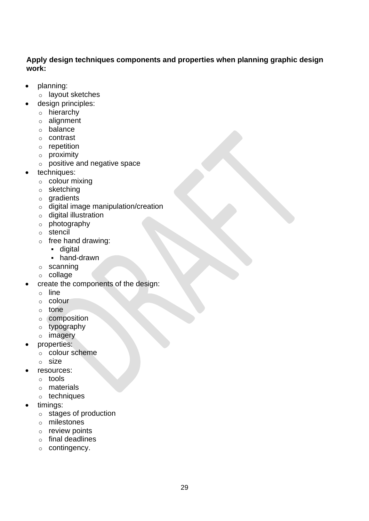# **Apply design techniques components and properties when planning graphic design work:**

- planning:
- o layout sketches
- design principles:
	- o hierarchy
	- o alignment
	- o balance
	- o contrast
	- o repetition
	- o proximity
	- o positive and negative space
- techniques:
	- $\circ$  colour mixing
	- o sketching
	- o gradients
	- o digital image manipulation/creation
	- o digital illustration
	- o photography
	- o stencil
	- $\circ$  free hand drawing:
		- digital
		- hand-drawn
	- o scanning
	- o collage
- create the components of the design:
	- o line
	- o colour
	- o tone
	- o composition
	- o typography
	- o imagery
- properties:
	- o colour scheme
	- o size
- resources:
	- o tools
	- o materials
	- o techniques
- timings:
	- o stages of production
	- o milestones
	- o review points
	- o final deadlines
	- o contingency.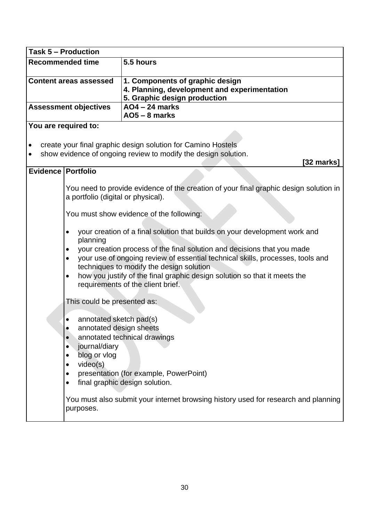| <b>Task 5 - Production</b>    |                                    |                                                                                                                                                           |
|-------------------------------|------------------------------------|-----------------------------------------------------------------------------------------------------------------------------------------------------------|
| <b>Recommended time</b>       |                                    | 5.5 hours                                                                                                                                                 |
| <b>Content areas assessed</b> |                                    | 1. Components of graphic design<br>4. Planning, development and experimentation<br>5. Graphic design production                                           |
|                               | <b>Assessment objectives</b>       | <b>AO4-24 marks</b>                                                                                                                                       |
|                               |                                    | $AO5 - 8$ marks                                                                                                                                           |
|                               | You are required to:               |                                                                                                                                                           |
|                               |                                    | create your final graphic design solution for Camino Hostels<br>show evidence of ongoing review to modify the design solution.                            |
|                               |                                    | [32 marks]                                                                                                                                                |
| Evidence   Portfolio          |                                    |                                                                                                                                                           |
|                               | a portfolio (digital or physical). | You need to provide evidence of the creation of your final graphic design solution in                                                                     |
|                               |                                    | You must show evidence of the following:                                                                                                                  |
|                               | planning                           | your creation of a final solution that builds on your development work and                                                                                |
|                               |                                    | your creation process of the final solution and decisions that you made<br>your use of ongoing review of essential technical skills, processes, tools and |
|                               |                                    | techniques to modify the design solution                                                                                                                  |
|                               | $\bullet$                          | how you justify of the final graphic design solution so that it meets the<br>requirements of the client brief.                                            |
|                               | This could be presented as:        |                                                                                                                                                           |
|                               | annotated sketch pad(s)            |                                                                                                                                                           |
|                               | annotated design sheets            |                                                                                                                                                           |
|                               |                                    | annotated technical drawings                                                                                                                              |
|                               | journal/diary                      |                                                                                                                                                           |
|                               | blog or vlog<br>video(s)           |                                                                                                                                                           |
|                               |                                    | presentation (for example, PowerPoint)                                                                                                                    |
|                               |                                    | final graphic design solution.                                                                                                                            |
|                               |                                    |                                                                                                                                                           |
|                               | purposes.                          | You must also submit your internet browsing history used for research and planning                                                                        |
|                               |                                    |                                                                                                                                                           |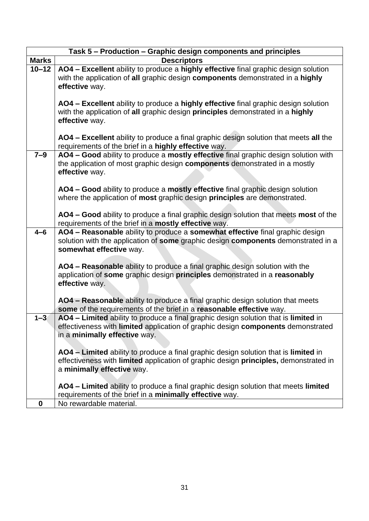|                  | Task 5 - Production - Graphic design components and principles                                                                                                                                            |
|------------------|-----------------------------------------------------------------------------------------------------------------------------------------------------------------------------------------------------------|
| <b>Marks</b>     | <b>Descriptors</b>                                                                                                                                                                                        |
| $10 - 12$        | AO4 - Excellent ability to produce a highly effective final graphic design solution<br>with the application of all graphic design components demonstrated in a highly<br>effective way.                   |
|                  | AO4 - Excellent ability to produce a highly effective final graphic design solution<br>with the application of all graphic design principles demonstrated in a highly<br>effective way.                   |
|                  | AO4 - Excellent ability to produce a final graphic design solution that meets all the<br>requirements of the brief in a highly effective way.                                                             |
| $7 - 9$          | AO4 - Good ability to produce a mostly effective final graphic design solution with<br>the application of most graphic design components demonstrated in a mostly<br>effective way.                       |
|                  | AO4 - Good ability to produce a mostly effective final graphic design solution<br>where the application of most graphic design principles are demonstrated.                                               |
|                  | AO4 - Good ability to produce a final graphic design solution that meets most of the<br>requirements of the brief in a mostly effective way.                                                              |
| $4 - 6$          | AO4 - Reasonable ability to produce a somewhat effective final graphic design<br>solution with the application of some graphic design components demonstrated in a<br>somewhat effective way.             |
|                  | AO4 - Reasonable ability to produce a final graphic design solution with the<br>application of some graphic design principles demonstrated in a reasonably<br>effective way.                              |
|                  | AO4 – Reasonable ability to produce a final graphic design solution that meets<br>some of the requirements of the brief in a reasonable effective way.                                                    |
| $1 - 3$          | AO4 - Limited ability to produce a final graphic design solution that is limited in<br>effectiveness with limited application of graphic design components demonstrated<br>in a minimally effective way.  |
|                  | AO4 - Limited ability to produce a final graphic design solution that is limited in<br>effectiveness with limited application of graphic design principles, demonstrated in<br>a minimally effective way. |
|                  | AO4 - Limited ability to produce a final graphic design solution that meets limited<br>requirements of the brief in a minimally effective way.                                                            |
| $\boldsymbol{0}$ | No rewardable material.                                                                                                                                                                                   |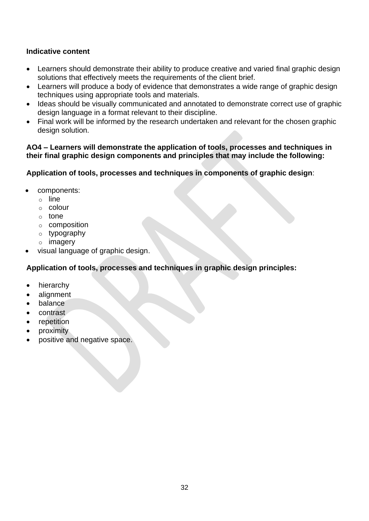- Learners should demonstrate their ability to produce creative and varied final graphic design solutions that effectively meets the requirements of the client brief.
- Learners will produce a body of evidence that demonstrates a wide range of graphic design techniques using appropriate tools and materials.
- Ideas should be visually communicated and annotated to demonstrate correct use of graphic design language in a format relevant to their discipline.
- Final work will be informed by the research undertaken and relevant for the chosen graphic design solution.

#### **AO4 – Learners will demonstrate the application of tools, processes and techniques in their final graphic design components and principles that may include the following:**

**Application of tools, processes and techniques in components of graphic design**:

- components:
	- o line
	- o colour
	- o tone
	- o composition
	- o typography
	- o imagery
- visual language of graphic design.

# **Application of tools, processes and techniques in graphic design principles:**

- hierarchy
- alignment
- balance
- contrast
- repetition
- proximity
- positive and negative space.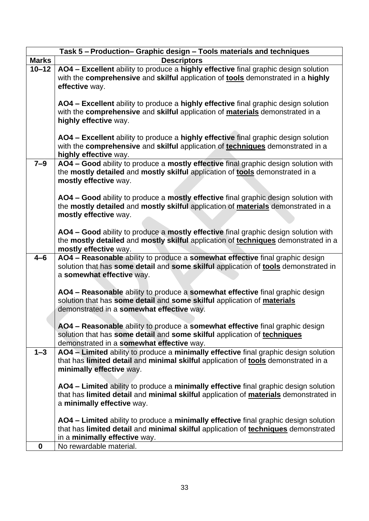|                  | Task 5 - Production- Graphic design - Tools materials and techniques                                                                                                                                        |
|------------------|-------------------------------------------------------------------------------------------------------------------------------------------------------------------------------------------------------------|
| <b>Marks</b>     | <b>Descriptors</b>                                                                                                                                                                                          |
| $10 - 12$        | AO4 - Excellent ability to produce a highly effective final graphic design solution<br>with the comprehensive and skilful application of tools demonstrated in a highly<br>effective way.                   |
|                  | AO4 - Excellent ability to produce a highly effective final graphic design solution<br>with the comprehensive and skilful application of materials demonstrated in a<br>highly effective way.               |
|                  | AO4 - Excellent ability to produce a highly effective final graphic design solution<br>with the comprehensive and skilful application of techniques demonstrated in a<br>highly effective way.              |
| $7-9$            | AO4 - Good ability to produce a mostly effective final graphic design solution with<br>the mostly detailed and mostly skilful application of tools demonstrated in a<br>mostly effective way.               |
|                  | AO4 - Good ability to produce a mostly effective final graphic design solution with<br>the mostly detailed and mostly skilful application of materials demonstrated in a<br>mostly effective way.           |
|                  | AO4 - Good ability to produce a mostly effective final graphic design solution with<br>the mostly detailed and mostly skilful application of techniques demonstrated in a<br>mostly effective way.          |
| $4 - 6$          | AO4 - Reasonable ability to produce a somewhat effective final graphic design<br>solution that has some detail and some skilful application of tools demonstrated in<br>a somewhat effective way.           |
|                  | AO4 - Reasonable ability to produce a somewhat effective final graphic design<br>solution that has some detail and some skilful application of materials<br>demonstrated in a somewhat effective way.       |
|                  | AO4 - Reasonable ability to produce a somewhat effective final graphic design<br>solution that has some detail and some skilful application of techniques<br>demonstrated in a somewhat effective way.      |
| $1 - 3$          | AO4 - Limited ability to produce a minimally effective final graphic design solution<br>that has limited detail and minimal skilful application of tools demonstrated in a<br>minimally effective way.      |
|                  | AO4 - Limited ability to produce a minimally effective final graphic design solution<br>that has limited detail and minimal skilful application of materials demonstrated in<br>a minimally effective way.  |
|                  | AO4 - Limited ability to produce a minimally effective final graphic design solution<br>that has limited detail and minimal skilful application of techniques demonstrated<br>in a minimally effective way. |
| $\boldsymbol{0}$ | No rewardable material.                                                                                                                                                                                     |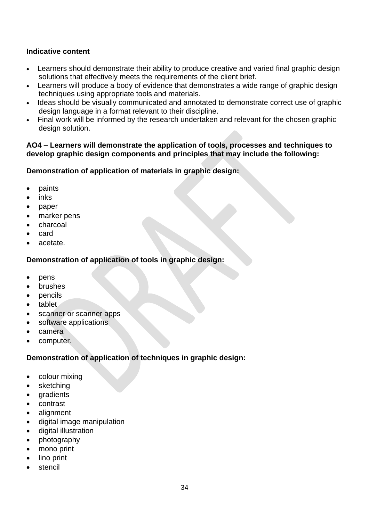- Learners should demonstrate their ability to produce creative and varied final graphic design solutions that effectively meets the requirements of the client brief.
- Learners will produce a body of evidence that demonstrates a wide range of graphic design techniques using appropriate tools and materials.
- Ideas should be visually communicated and annotated to demonstrate correct use of graphic design language in a format relevant to their discipline.
- Final work will be informed by the research undertaken and relevant for the chosen graphic design solution.

## **AO4 – Learners will demonstrate the application of tools, processes and techniques to develop graphic design components and principles that may include the following:**

# **Demonstration of application of materials in graphic design:**

- paints
- inks
- paper
- marker pens
- charcoal
- card
- acetate.

# **Demonstration of application of tools in graphic design:**

- pens
- brushes
- pencils
- tablet
- scanner or scanner apps
- software applications
- camera
- computer.

# **Demonstration of application of techniques in graphic design:**

- colour mixing
- sketching
- **gradients**
- contrast
- alignment
- digital image manipulation
- digital illustration
- photography
- mono print
- lino print
- stencil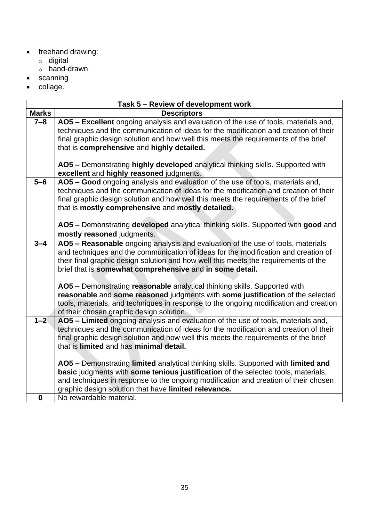- freehand drawing:
	- o digital
	- o hand-drawn
- scanning
- collage.

|              | Task 5 - Review of development work                                                                                                                                         |
|--------------|-----------------------------------------------------------------------------------------------------------------------------------------------------------------------------|
| <b>Marks</b> | <b>Descriptors</b>                                                                                                                                                          |
| $7 - 8$      | AO5 - Excellent ongoing analysis and evaluation of the use of tools, materials and,<br>techniques and the communication of ideas for the modification and creation of their |
|              | final graphic design solution and how well this meets the requirements of the brief                                                                                         |
|              | that is comprehensive and highly detailed.                                                                                                                                  |
|              |                                                                                                                                                                             |
|              | AO5 - Demonstrating highly developed analytical thinking skills. Supported with                                                                                             |
|              | excellent and highly reasoned judgments.                                                                                                                                    |
| $5-6$        | AO5 - Good ongoing analysis and evaluation of the use of tools, materials and,                                                                                              |
|              | techniques and the communication of ideas for the modification and creation of their                                                                                        |
|              | final graphic design solution and how well this meets the requirements of the brief                                                                                         |
|              | that is mostly comprehensive and mostly detailed.                                                                                                                           |
|              |                                                                                                                                                                             |
|              | AO5 - Demonstrating developed analytical thinking skills. Supported with good and                                                                                           |
|              | mostly reasoned judgments.                                                                                                                                                  |
| $3 - 4$      | AO5 - Reasonable ongoing analysis and evaluation of the use of tools, materials                                                                                             |
|              | and techniques and the communication of ideas for the modification and creation of                                                                                          |
|              | their final graphic design solution and how well this meets the requirements of the<br>brief that is somewhat comprehensive and in some detail.                             |
|              |                                                                                                                                                                             |
|              | AO5 - Demonstrating reasonable analytical thinking skills. Supported with                                                                                                   |
|              | reasonable and some reasoned judgments with some justification of the selected                                                                                              |
|              | tools, materials, and techniques in response to the ongoing modification and creation                                                                                       |
|              | of their chosen graphic design solution.                                                                                                                                    |
| $1 - 2$      | AO5 - Limited ongoing analysis and evaluation of the use of tools, materials and,                                                                                           |
|              | techniques and the communication of ideas for the modification and creation of their                                                                                        |
|              | final graphic design solution and how well this meets the requirements of the brief                                                                                         |
|              | that is limited and has minimal detail.                                                                                                                                     |
|              |                                                                                                                                                                             |
|              | AO5 - Demonstrating limited analytical thinking skills. Supported with limited and                                                                                          |
|              | basic judgments with some tenious justification of the selected tools, materials,                                                                                           |
|              | and techniques in response to the ongoing modification and creation of their chosen                                                                                         |
| $\bf{0}$     | graphic design solution that have limited relevance.<br>No rewardable material.                                                                                             |
|              |                                                                                                                                                                             |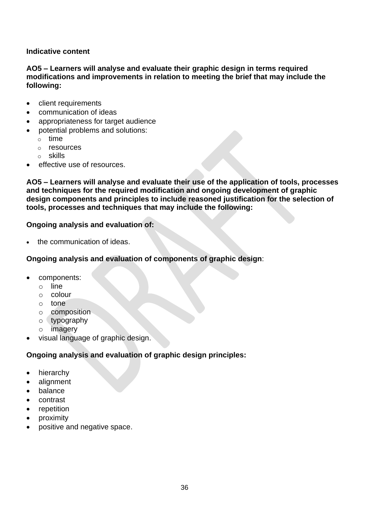**AO5 – Learners will analyse and evaluate their graphic design in terms required modifications and improvements in relation to meeting the brief that may include the following:** 

- client requirements
- communication of ideas
- appropriateness for target audience
- potential problems and solutions:
	- o time
	- o resources
	- o skills
- effective use of resources.

**AO5 – Learners will analyse and evaluate their use of the application of tools, processes and techniques for the required modification and ongoing development of graphic design components and principles to include reasoned justification for the selection of tools, processes and techniques that may include the following:** 

# **Ongoing analysis and evaluation of:**

the communication of ideas.

# **Ongoing analysis and evaluation of components of graphic design**:

- components:
	- o line
	- o colour
	- o tone
	- o composition
	- o typography
	- o imagery
- visual language of graphic design.

# **Ongoing analysis and evaluation of graphic design principles:**

- hierarchy
- alignment
- balance
- contrast
- repetition
- proximity
- positive and negative space.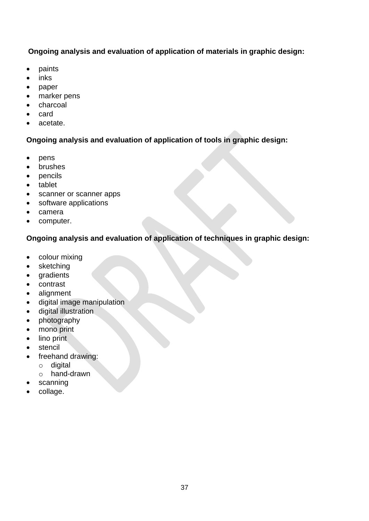# **Ongoing analysis and evaluation of application of materials in graphic design:**

- paints
- inks
- paper
- marker pens
- charcoal
- card
- acetate.

# **Ongoing analysis and evaluation of application of tools in graphic design:**

- pens
- brushes
- pencils
- tablet
- scanner or scanner apps
- software applications
- camera
- computer.

# **Ongoing analysis and evaluation of application of techniques in graphic design:**

- colour mixing
- sketching
- gradients
- contrast
- alignment
- digital image manipulation
- digital illustration
- photography
- mono print
- lino print
- stencil
- freehand drawing:
	- o digital
	- o hand-drawn
- scanning
- collage.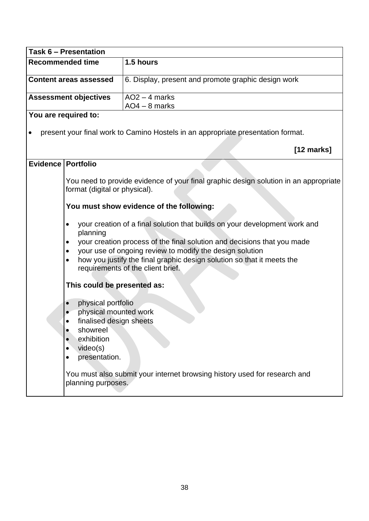| Task 6 - Presentation         |                                                                                                                               |                                                                                                                                                                         |
|-------------------------------|-------------------------------------------------------------------------------------------------------------------------------|-------------------------------------------------------------------------------------------------------------------------------------------------------------------------|
| <b>Recommended time</b>       |                                                                                                                               | 1.5 hours                                                                                                                                                               |
| <b>Content areas assessed</b> |                                                                                                                               | 6. Display, present and promote graphic design work                                                                                                                     |
|                               | <b>Assessment objectives</b>                                                                                                  | $AO2 - 4$ marks<br>$AO4 - 8$ marks                                                                                                                                      |
|                               | You are required to:                                                                                                          |                                                                                                                                                                         |
|                               |                                                                                                                               | present your final work to Camino Hostels in an appropriate presentation format.                                                                                        |
|                               |                                                                                                                               | $[12 \text{ marks}]$                                                                                                                                                    |
| Evidence   Portfolio          |                                                                                                                               |                                                                                                                                                                         |
|                               | format (digital or physical).                                                                                                 | You need to provide evidence of your final graphic design solution in an appropriate                                                                                    |
|                               |                                                                                                                               | You must show evidence of the following:                                                                                                                                |
|                               | $\bullet$<br>planning                                                                                                         | your creation of a final solution that builds on your development work and                                                                                              |
|                               |                                                                                                                               | your creation process of the final solution and decisions that you made                                                                                                 |
|                               |                                                                                                                               | your use of ongoing review to modify the design solution<br>how you justify the final graphic design solution so that it meets the<br>requirements of the client brief. |
|                               | This could be presented as:                                                                                                   |                                                                                                                                                                         |
|                               | physical portfolio<br>physical mounted work<br>finalised design sheets<br>showreel<br>exhibition<br>video(s)<br>presentation. |                                                                                                                                                                         |
|                               | planning purposes.                                                                                                            | You must also submit your internet browsing history used for research and                                                                                               |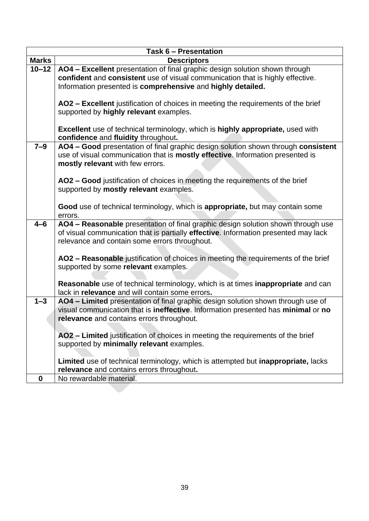|              | <b>Task 6 - Presentation</b>                                                                                                 |
|--------------|------------------------------------------------------------------------------------------------------------------------------|
| <b>Marks</b> | <b>Descriptors</b>                                                                                                           |
| $10 - 12$    | AO4 - Excellent presentation of final graphic design solution shown through                                                  |
|              | confident and consistent use of visual communication that is highly effective.                                               |
|              | Information presented is comprehensive and highly detailed.                                                                  |
|              |                                                                                                                              |
|              | AO2 - Excellent justification of choices in meeting the requirements of the brief                                            |
|              | supported by highly relevant examples.                                                                                       |
|              |                                                                                                                              |
|              | <b>Excellent</b> use of technical terminology, which is highly appropriate, used with                                        |
|              | confidence and fluidity throughout.                                                                                          |
| $7-9$        | AO4 - Good presentation of final graphic design solution shown through consistent                                            |
|              | use of visual communication that is mostly effective. Information presented is                                               |
|              | mostly relevant with few errors.                                                                                             |
|              | AO2 – Good justification of choices in meeting the requirements of the brief                                                 |
|              | supported by mostly relevant examples.                                                                                       |
|              |                                                                                                                              |
|              | Good use of technical terminology, which is appropriate, but may contain some                                                |
|              | errors.                                                                                                                      |
| $4 - 6$      | AO4 - Reasonable presentation of final graphic design solution shown through use                                             |
|              | of visual communication that is partially effective. Information presented may lack                                          |
|              | relevance and contain some errors throughout.                                                                                |
|              |                                                                                                                              |
|              | AO2 - Reasonable justification of choices in meeting the requirements of the brief                                           |
|              | supported by some relevant examples.                                                                                         |
|              |                                                                                                                              |
|              | Reasonable use of technical terminology, which is at times inappropriate and can                                             |
|              | lack in relevance and will contain some errors.                                                                              |
| $1 - 3$      | AO4 - Limited presentation of final graphic design solution shown through use of                                             |
|              | visual communication that is ineffective. Information presented has minimal or no                                            |
|              | relevance and contains errors throughout.                                                                                    |
|              |                                                                                                                              |
|              | AO2 - Limited justification of choices in meeting the requirements of the brief<br>supported by minimally relevant examples. |
|              |                                                                                                                              |
|              | Limited use of technical terminology, which is attempted but inappropriate, lacks                                            |
|              | relevance and contains errors throughout.                                                                                    |
| $\bf{0}$     | No rewardable material.                                                                                                      |
|              |                                                                                                                              |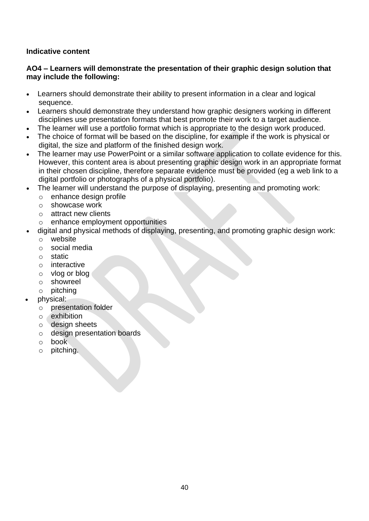# **AO4 – Learners will demonstrate the presentation of their graphic design solution that may include the following:**

- Learners should demonstrate their ability to present information in a clear and logical sequence.
- Learners should demonstrate they understand how graphic designers working in different disciplines use presentation formats that best promote their work to a target audience.
- The learner will use a portfolio format which is appropriate to the design work produced.
- The choice of format will be based on the discipline, for example if the work is physical or digital, the size and platform of the finished design work.
- The learner may use PowerPoint or a similar software application to collate evidence for this. However, this content area is about presenting graphic design work in an appropriate format in their chosen discipline, therefore separate evidence must be provided (eg a web link to a digital portfolio or photographs of a physical portfolio).
- The learner will understand the purpose of displaying, presenting and promoting work:
	- o enhance design profile
	- o showcase work
	- o attract new clients
	- o enhance employment opportunities
- digital and physical methods of displaying, presenting, and promoting graphic design work:
	- o website
	- o social media
	- o static
	- o interactive
	- o vlog or blog
	- o showreel
	- o pitching
- physical:
	- o presentation folder
	- o exhibition
	- o design sheets
	- o design presentation boards
	- o book
	- o pitching.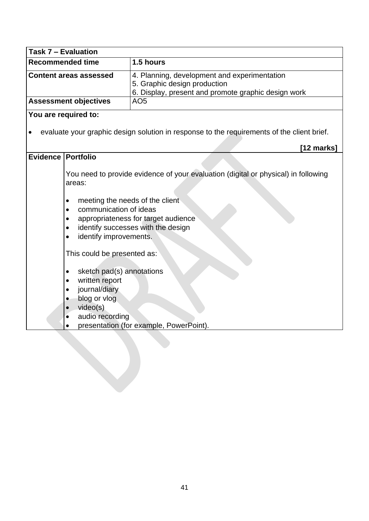| Task 7 - Evaluation           |                                                                                                                                                                                           |                                                                                                                                                                 |
|-------------------------------|-------------------------------------------------------------------------------------------------------------------------------------------------------------------------------------------|-----------------------------------------------------------------------------------------------------------------------------------------------------------------|
| <b>Recommended time</b>       |                                                                                                                                                                                           | 1.5 hours                                                                                                                                                       |
| <b>Content areas assessed</b> |                                                                                                                                                                                           | 4. Planning, development and experimentation<br>5. Graphic design production<br>6. Display, present and promote graphic design work                             |
|                               | <b>Assessment objectives</b>                                                                                                                                                              | AO <sub>5</sub>                                                                                                                                                 |
|                               | You are required to:                                                                                                                                                                      |                                                                                                                                                                 |
| $\bullet$                     |                                                                                                                                                                                           | evaluate your graphic design solution in response to the requirements of the client brief.                                                                      |
|                               |                                                                                                                                                                                           | $[12 \text{ marks}]$                                                                                                                                            |
| Evidence   Portfolio          |                                                                                                                                                                                           |                                                                                                                                                                 |
|                               | areas:<br>meeting the needs of the client<br>٠<br>communication of ideas<br>$\bullet$<br>$\bullet$<br>$\bullet$<br>identify improvements.<br>$\bullet$<br>This could be presented as:     | You need to provide evidence of your evaluation (digital or physical) in following<br>appropriateness for target audience<br>identify successes with the design |
|                               | sketch pad(s) annotations<br>$\bullet$<br>written report<br>$\bullet$<br>journal/diary<br>$\bullet$<br>blog or vlog<br>$\bullet$<br>video(s)<br>$\bullet$<br>audio recording<br>$\bullet$ | presentation (for example, PowerPoint).                                                                                                                         |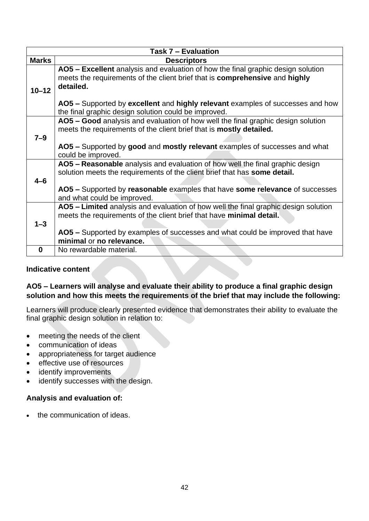| Task 7 - Evaluation |                                                                                                                                                                                                                                                                              |  |
|---------------------|------------------------------------------------------------------------------------------------------------------------------------------------------------------------------------------------------------------------------------------------------------------------------|--|
| <b>Marks</b>        | <b>Descriptors</b>                                                                                                                                                                                                                                                           |  |
| $10 - 12$           | AO5 - Excellent analysis and evaluation of how the final graphic design solution<br>meets the requirements of the client brief that is <b>comprehensive</b> and <b>highly</b><br>detailed.<br>AO5 - Supported by excellent and highly relevant examples of successes and how |  |
|                     | the final graphic design solution could be improved.                                                                                                                                                                                                                         |  |
| $7 - 9$             | AO5 – Good analysis and evaluation of how well the final graphic design solution<br>meets the requirements of the client brief that is mostly detailed.                                                                                                                      |  |
|                     | AO5 - Supported by good and mostly relevant examples of successes and what<br>could be improved.                                                                                                                                                                             |  |
| $4 - 6$             | AO5 - Reasonable analysis and evaluation of how well the final graphic design<br>solution meets the requirements of the client brief that has some detail.                                                                                                                   |  |
|                     | AO5 – Supported by reasonable examples that have some relevance of successes<br>and what could be improved.                                                                                                                                                                  |  |
|                     | AO5 – Limited analysis and evaluation of how well the final graphic design solution<br>meets the requirements of the client brief that have minimal detail.                                                                                                                  |  |
| $1 - 3$             |                                                                                                                                                                                                                                                                              |  |
|                     | AO5 - Supported by examples of successes and what could be improved that have<br>minimal or no relevance.                                                                                                                                                                    |  |
| $\bf{0}$            | No rewardable material.                                                                                                                                                                                                                                                      |  |

# **AO5 – Learners will analyse and evaluate their ability to produce a final graphic design solution and how this meets the requirements of the brief that may include the following:**

Learners will produce clearly presented evidence that demonstrates their ability to evaluate the final graphic design solution in relation to:

- meeting the needs of the client
- communication of ideas
- appropriateness for target audience
- effective use of resources
- identify improvements
- identify successes with the design.

# **Analysis and evaluation of:**

• the communication of ideas.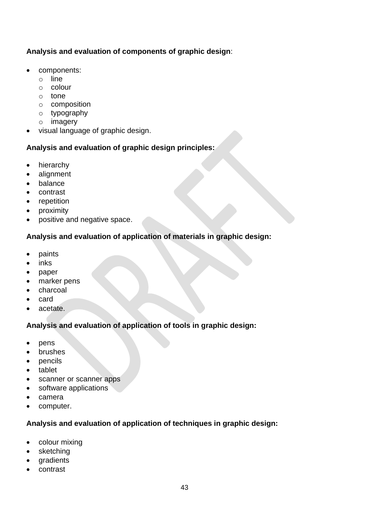# **Analysis and evaluation of components of graphic design**:

- components:
	- o line
	- o colour
	- o tone
	- o composition
	- o typography
	- o imagery
- visual language of graphic design.

# **Analysis and evaluation of graphic design principles:**

- hierarchy
- alignment
- balance
- contrast
- repetition
- proximity
- positive and negative space.

# **Analysis and evaluation of application of materials in graphic design:**

- paints
- inks
- paper
- marker pens
- charcoal
- card
- acetate.

# **Analysis and evaluation of application of tools in graphic design:**

- pens
- brushes
- pencils
- tablet
- scanner or scanner apps
- software applications
- camera
- computer.

# **Analysis and evaluation of application of techniques in graphic design:**

- colour mixing
- sketching
- gradients
- contrast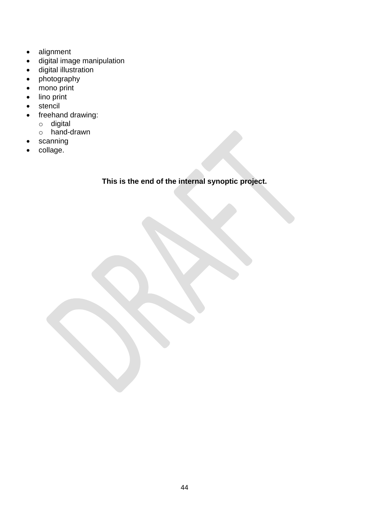- alignment
- digital image manipulation
- digital illustration
- photography
- mono print
- lino print
- stencil
- freehand drawing:
	- o digital
	- o hand-drawn
- scanning
- collage.

# **This is the end of the internal synoptic project.**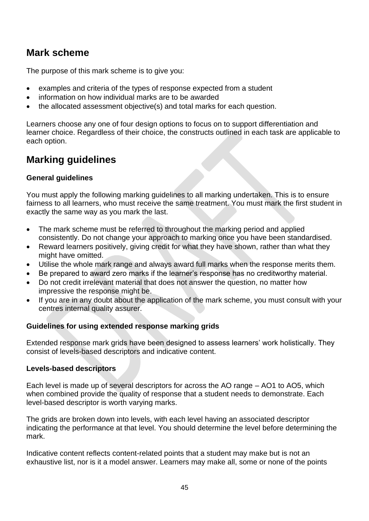# <span id="page-44-0"></span>**Mark scheme**

The purpose of this mark scheme is to give you:

- examples and criteria of the types of response expected from a student
- information on how individual marks are to be awarded
- the allocated assessment objective(s) and total marks for each question.

Learners choose any one of four design options to focus on to support differentiation and learner choice. Regardless of their choice, the constructs outlined in each task are applicable to each option.

# <span id="page-44-1"></span>**Marking guidelines**

# **General guidelines**

You must apply the following marking guidelines to all marking undertaken. This is to ensure fairness to all learners, who must receive the same treatment. You must mark the first student in exactly the same way as you mark the last.

- The mark scheme must be referred to throughout the marking period and applied consistently. Do not change your approach to marking once you have been standardised.
- Reward learners positively, giving credit for what they have shown, rather than what they might have omitted.
- Utilise the whole mark range and always award full marks when the response merits them.
- Be prepared to award zero marks if the learner's response has no creditworthy material.
- Do not credit irrelevant material that does not answer the question, no matter how impressive the response might be.
- If you are in any doubt about the application of the mark scheme, you must consult with your centres internal quality assurer.

# **Guidelines for using extended response marking grids**

Extended response mark grids have been designed to assess learners' work holistically. They consist of levels-based descriptors and indicative content.

# **Levels-based descriptors**

Each level is made up of several descriptors for across the AO range – AO1 to AO5, which when combined provide the quality of response that a student needs to demonstrate. Each level-based descriptor is worth varying marks.

The grids are broken down into levels, with each level having an associated descriptor indicating the performance at that level. You should determine the level before determining the mark.

Indicative content reflects content-related points that a student may make but is not an exhaustive list, nor is it a model answer. Learners may make all, some or none of the points